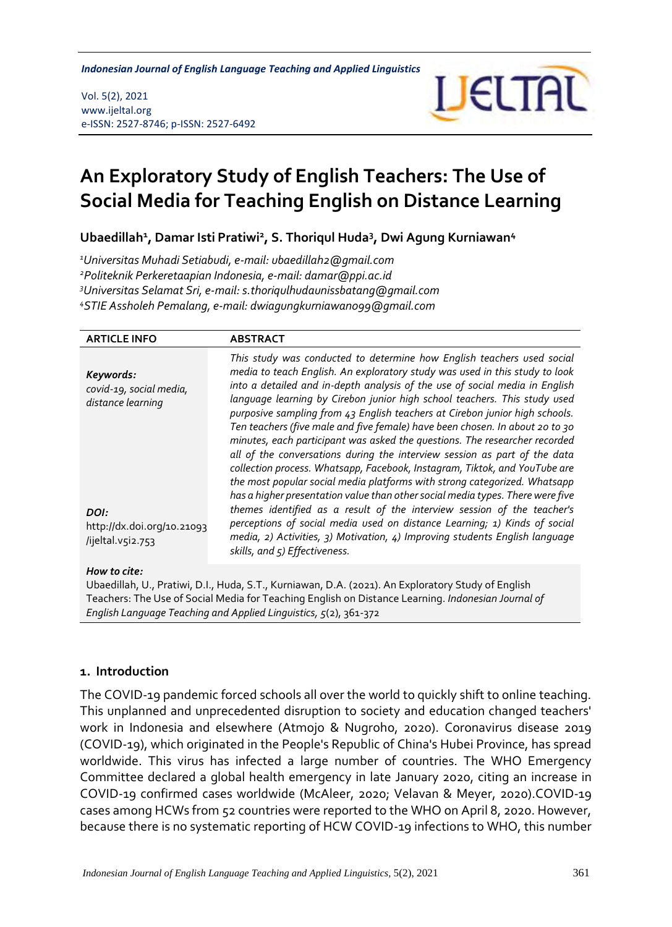*An Exploratory Study of English Teachers: The Use of Social Media Indonesian Journal of English Language Teaching and Applied Linguistics*

Vol. 5(2), 2021 www.ijeltal.org e-ISSN: 2527-8746; p-ISSN: 2527-6492



# **An Exploratory Study of English Teachers: The Use of Social Media for Teaching English on Distance Learning**

**Ubaedillah<sup>1</sup> , Damar Isti Pratiwi<sup>2</sup> , S. Thoriqul Huda<sup>3</sup> , Dwi Agung Kurniawan<sup>4</sup>**

*Universitas Muhadi Setiabudi, e-mail: ubaedillah2@gmail.com Politeknik Perkeretaapian Indonesia, e-mail: damar@ppi.ac.id Universitas Selamat Sri, e-mail: s.thoriqulhudaunissbatang@gmail.com STIE Assholeh Pemalang, e-mail: dwiagungkurniawan099@gmail.com*

| <b>ARTICLE INFO</b>                                                                                                  | <b>ABSTRACT</b>                                                                                                                                                                                                                                                                                                                                                                                                                                                                                                                                                                                                                                                                                                                                                                                                                                                                                                                                                                                                                                                                                                                                                  |  |  |  |
|----------------------------------------------------------------------------------------------------------------------|------------------------------------------------------------------------------------------------------------------------------------------------------------------------------------------------------------------------------------------------------------------------------------------------------------------------------------------------------------------------------------------------------------------------------------------------------------------------------------------------------------------------------------------------------------------------------------------------------------------------------------------------------------------------------------------------------------------------------------------------------------------------------------------------------------------------------------------------------------------------------------------------------------------------------------------------------------------------------------------------------------------------------------------------------------------------------------------------------------------------------------------------------------------|--|--|--|
| Keywords:<br>covid-19, social media,<br>distance learning<br>DOI:<br>http://dx.doi.org/10.21093<br>/ijeltal.v5i2.753 | This study was conducted to determine how English teachers used social<br>media to teach English. An exploratory study was used in this study to look<br>into a detailed and in-depth analysis of the use of social media in English<br>language learning by Cirebon junior high school teachers. This study used<br>purposive sampling from 43 English teachers at Cirebon junior high schools.<br>Ten teachers (five male and five female) have been chosen. In about 20 to 30<br>minutes, each participant was asked the questions. The researcher recorded<br>all of the conversations during the interview session as part of the data<br>collection process. Whatsapp, Facebook, Instagram, Tiktok, and YouTube are<br>the most popular social media platforms with strong categorized. Whatsapp<br>has a higher presentation value than other social media types. There were five<br>themes identified as a result of the interview session of the teacher's<br>perceptions of social media used on distance Learning; 1) Kinds of social<br>media, 2) Activities, 3) Motivation, 4) Improving students English language<br>skills, and 5) Effectiveness. |  |  |  |
|                                                                                                                      |                                                                                                                                                                                                                                                                                                                                                                                                                                                                                                                                                                                                                                                                                                                                                                                                                                                                                                                                                                                                                                                                                                                                                                  |  |  |  |
| How to cite:<br>Ubaedillah, U., Pratiwi, D.I., Huda, S.T., Kurniawan, D.A. (2021). An Exploratory Study of English   |                                                                                                                                                                                                                                                                                                                                                                                                                                                                                                                                                                                                                                                                                                                                                                                                                                                                                                                                                                                                                                                                                                                                                                  |  |  |  |

Teachers: The Use of Social Media for Teaching English on Distance Learning. *Indonesian Journal of English Language Teaching and Applied Linguistics, 5*(2), 361-372

#### **1. Introduction**

The COVID-19 pandemic forced schools all over the world to quickly shift to online teaching. This unplanned and unprecedented disruption to society and education changed teachers' work in Indonesia and elsewhere (Atmojo & Nugroho, 2020). Coronavirus disease 2019 (COVID-19), which originated in the People's Republic of China's Hubei Province, has spread worldwide. This virus has infected a large number of countries. The WHO Emergency Committee declared a global health emergency in late January 2020, citing an increase in COVID-19 confirmed cases worldwide (McAleer, 2020; Velavan & Meyer, 2020).COVID-19 cases among HCWs from 52 countries were reported to the WHO on April 8, 2020. However, because there is no systematic reporting of HCW COVID-19 infections to WHO, this number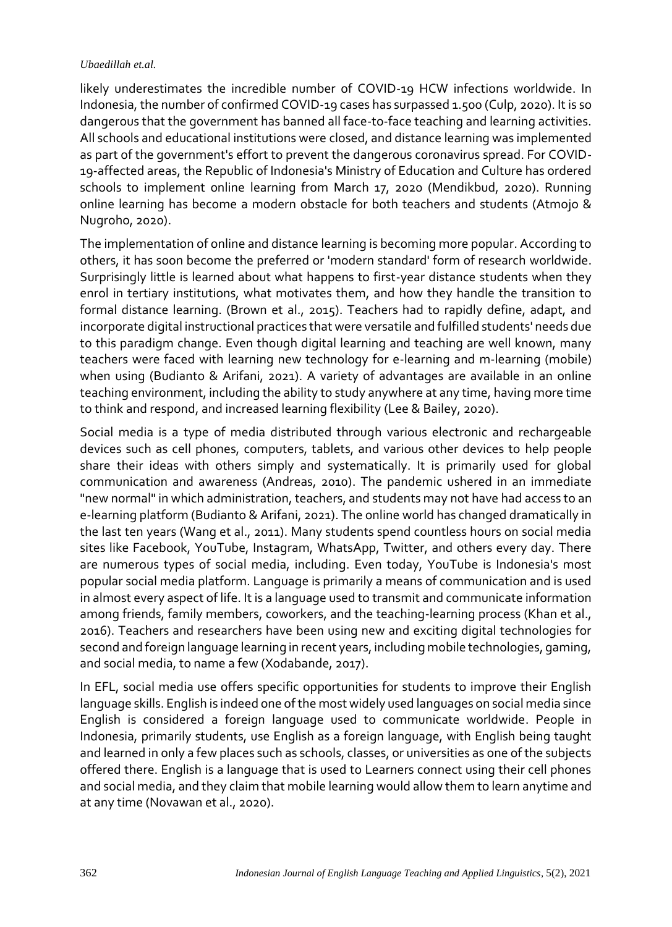likely underestimates the incredible number of COVID-19 HCW infections worldwide. In Indonesia, the number of confirmed COVID-19 cases has surpassed 1.500 (Culp, 2020). It is so dangerous that the government has banned all face-to-face teaching and learning activities. All schools and educational institutions were closed, and distance learning was implemented as part of the government's effort to prevent the dangerous coronavirus spread. For COVID-19-affected areas, the Republic of Indonesia's Ministry of Education and Culture has ordered schools to implement online learning from March 17, 2020 (Mendikbud, 2020). Running online learning has become a modern obstacle for both teachers and students (Atmojo & Nugroho, 2020).

The implementation of online and distance learning is becoming more popular. According to others, it has soon become the preferred or 'modern standard' form of research worldwide. Surprisingly little is learned about what happens to first-year distance students when they enrol in tertiary institutions, what motivates them, and how they handle the transition to formal distance learning. (Brown et al., 2015). Teachers had to rapidly define, adapt, and incorporate digital instructional practices that were versatile and fulfilled students' needs due to this paradigm change. Even though digital learning and teaching are well known, many teachers were faced with learning new technology for e-learning and m-learning (mobile) when using (Budianto & Arifani, 2021). A variety of advantages are available in an online teaching environment, including the ability to study anywhere at any time, having more time to think and respond, and increased learning flexibility (Lee & Bailey, 2020).

Social media is a type of media distributed through various electronic and rechargeable devices such as cell phones, computers, tablets, and various other devices to help people share their ideas with others simply and systematically. It is primarily used for global communication and awareness (Andreas, 2010). The pandemic ushered in an immediate "new normal" in which administration, teachers, and students may not have had access to an e-learning platform (Budianto & Arifani, 2021). The online world has changed dramatically in the last ten years (Wang et al., 2011). Many students spend countless hours on social media sites like Facebook, YouTube, Instagram, WhatsApp, Twitter, and others every day. There are numerous types of social media, including. Even today, YouTube is Indonesia's most popular social media platform. Language is primarily a means of communication and is used in almost every aspect of life. It is a language used to transmit and communicate information among friends, family members, coworkers, and the teaching-learning process (Khan et al., 2016). Teachers and researchers have been using new and exciting digital technologies for second and foreign language learning in recent years, including mobile technologies, gaming, and social media, to name a few (Xodabande, 2017).

In EFL, social media use offers specific opportunities for students to improve their English language skills. English is indeed one of the most widely used languages on social media since English is considered a foreign language used to communicate worldwide. People in Indonesia, primarily students, use English as a foreign language, with English being taught and learned in only a few places such as schools, classes, or universities as one of the subjects offered there. English is a language that is used to Learners connect using their cell phones and social media, and they claim that mobile learning would allow them to learn anytime and at any time (Novawan et al., 2020).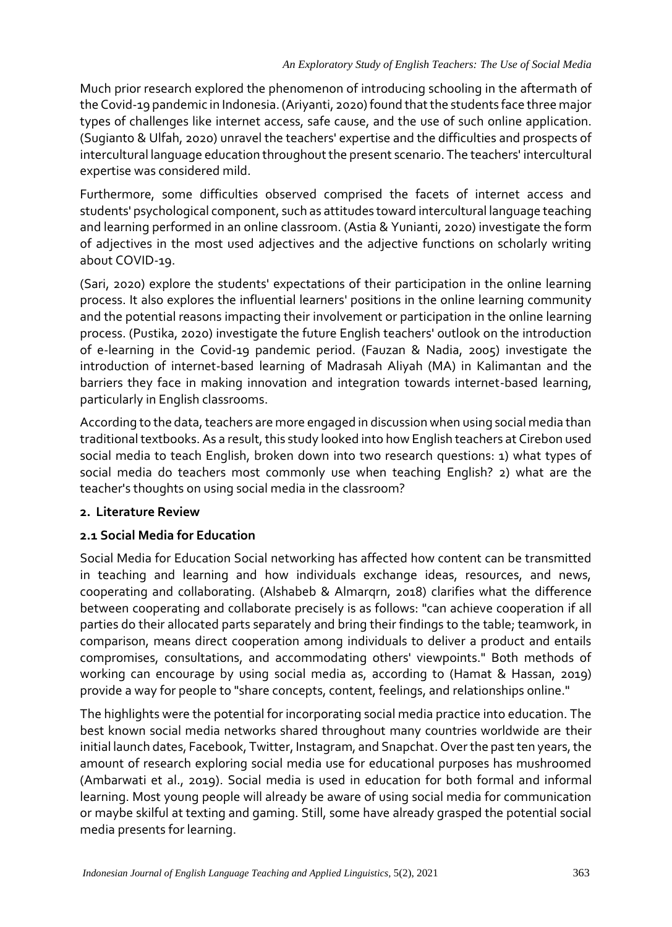Much prior research explored the phenomenon of introducing schooling in the aftermath of the Covid-19 pandemic in Indonesia. (Ariyanti, 2020) found that the students face three major types of challenges like internet access, safe cause, and the use of such online application. (Sugianto & Ulfah, 2020) unravel the teachers' expertise and the difficulties and prospects of intercultural language education throughout the present scenario. The teachers' intercultural expertise was considered mild.

Furthermore, some difficulties observed comprised the facets of internet access and students' psychological component, such as attitudes toward intercultural language teaching and learning performed in an online classroom. (Astia & Yunianti, 2020) investigate the form of adjectives in the most used adjectives and the adjective functions on scholarly writing about COVID-19.

(Sari, 2020) explore the students' expectations of their participation in the online learning process. It also explores the influential learners' positions in the online learning community and the potential reasons impacting their involvement or participation in the online learning process. (Pustika, 2020) investigate the future English teachers' outlook on the introduction of e-learning in the Covid-19 pandemic period. (Fauzan & Nadia, 2005) investigate the introduction of internet-based learning of Madrasah Aliyah (MA) in Kalimantan and the barriers they face in making innovation and integration towards internet-based learning, particularly in English classrooms.

According to the data, teachers are more engaged in discussion when using social media than traditional textbooks. As a result, this study looked into how English teachers at Cirebon used social media to teach English, broken down into two research questions: 1) what types of social media do teachers most commonly use when teaching English? 2) what are the teacher's thoughts on using social media in the classroom?

## **2. Literature Review**

# **2.1 Social Media for Education**

Social Media for Education Social networking has affected how content can be transmitted in teaching and learning and how individuals exchange ideas, resources, and news, cooperating and collaborating. (Alshabeb & Almarqrn, 2018) clarifies what the difference between cooperating and collaborate precisely is as follows: "can achieve cooperation if all parties do their allocated parts separately and bring their findings to the table; teamwork, in comparison, means direct cooperation among individuals to deliver a product and entails compromises, consultations, and accommodating others' viewpoints." Both methods of working can encourage by using social media as, according to (Hamat & Hassan, 2019) provide a way for people to "share concepts, content, feelings, and relationships online."

The highlights were the potential for incorporating social media practice into education. The best known social media networks shared throughout many countries worldwide are their initial launch dates, Facebook, Twitter, Instagram, and Snapchat. Over the past ten years, the amount of research exploring social media use for educational purposes has mushroomed (Ambarwati et al., 2019). Social media is used in education for both formal and informal learning. Most young people will already be aware of using social media for communication or maybe skilful at texting and gaming. Still, some have already grasped the potential social media presents for learning.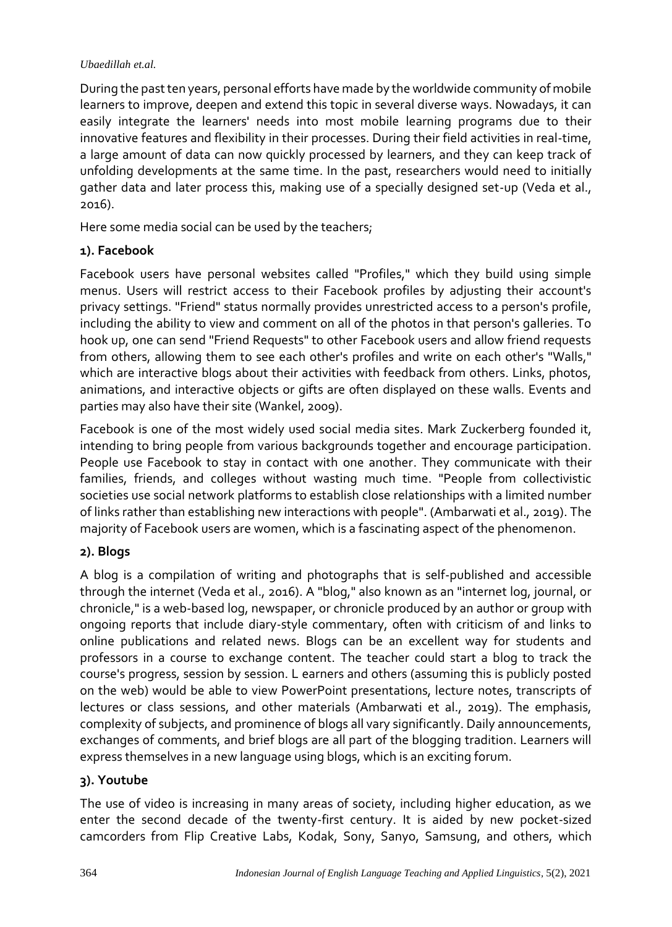During the past ten years, personal efforts have made by the worldwide community of mobile learners to improve, deepen and extend this topic in several diverse ways. Nowadays, it can easily integrate the learners' needs into most mobile learning programs due to their innovative features and flexibility in their processes. During their field activities in real-time, a large amount of data can now quickly processed by learners, and they can keep track of unfolding developments at the same time. In the past, researchers would need to initially gather data and later process this, making use of a specially designed set-up (Veda et al., 2016).

Here some media social can be used by the teachers;

# **1). Facebook**

Facebook users have personal websites called "Profiles," which they build using simple menus. Users will restrict access to their Facebook profiles by adjusting their account's privacy settings. "Friend" status normally provides unrestricted access to a person's profile, including the ability to view and comment on all of the photos in that person's galleries. To hook up, one can send "Friend Requests" to other Facebook users and allow friend requests from others, allowing them to see each other's profiles and write on each other's "Walls," which are interactive blogs about their activities with feedback from others. Links, photos, animations, and interactive objects or gifts are often displayed on these walls. Events and parties may also have their site (Wankel, 2009).

Facebook is one of the most widely used social media sites. Mark Zuckerberg founded it, intending to bring people from various backgrounds together and encourage participation. People use Facebook to stay in contact with one another. They communicate with their families, friends, and colleges without wasting much time. "People from collectivistic societies use social network platforms to establish close relationships with a limited number of links rather than establishing new interactions with people". (Ambarwati et al., 2019). The majority of Facebook users are women, which is a fascinating aspect of the phenomenon.

# **2). Blogs**

A blog is a compilation of writing and photographs that is self-published and accessible through the internet (Veda et al., 2016). A "blog," also known as an "internet log, journal, or chronicle," is a web-based log, newspaper, or chronicle produced by an author or group with ongoing reports that include diary-style commentary, often with criticism of and links to online publications and related news. Blogs can be an excellent way for students and professors in a course to exchange content. The teacher could start a blog to track the course's progress, session by session. L earners and others (assuming this is publicly posted on the web) would be able to view PowerPoint presentations, lecture notes, transcripts of lectures or class sessions, and other materials (Ambarwati et al., 2019). The emphasis, complexity of subjects, and prominence of blogs all vary significantly. Daily announcements, exchanges of comments, and brief blogs are all part of the blogging tradition. Learners will express themselves in a new language using blogs, which is an exciting forum.

# **3). Youtube**

The use of video is increasing in many areas of society, including higher education, as we enter the second decade of the twenty-first century. It is aided by new pocket-sized camcorders from Flip Creative Labs, Kodak, Sony, Sanyo, Samsung, and others, which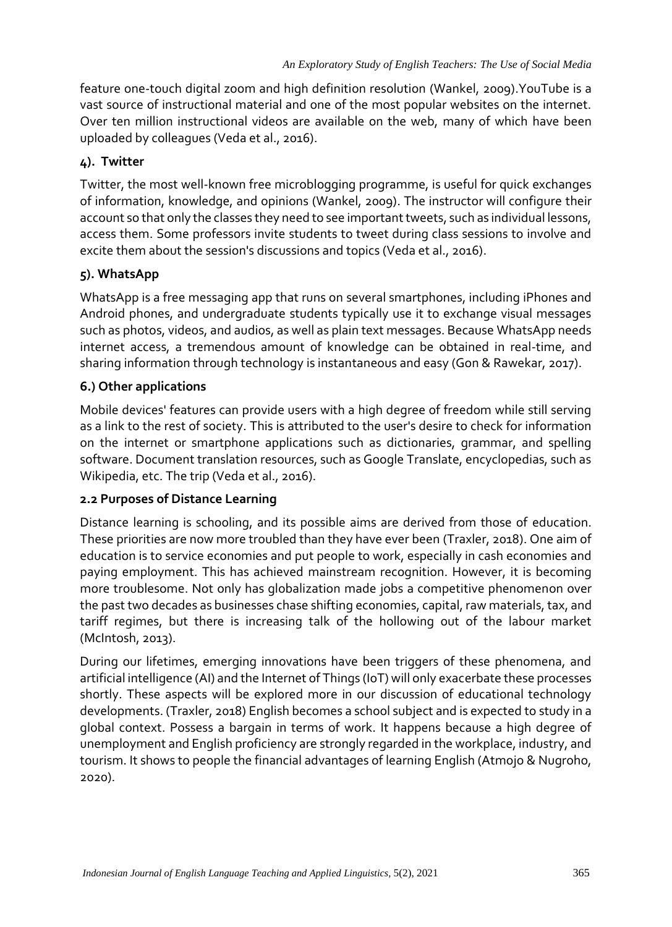feature one-touch digital zoom and high definition resolution (Wankel, 2009).YouTube is a vast source of instructional material and one of the most popular websites on the internet. Over ten million instructional videos are available on the web, many of which have been uploaded by colleagues (Veda et al., 2016).

## **4). Twitter**

Twitter, the most well-known free microblogging programme, is useful for quick exchanges of information, knowledge, and opinions (Wankel, 2009). The instructor will configure their account so that only the classes they need to see important tweets, such as individual lessons, access them. Some professors invite students to tweet during class sessions to involve and excite them about the session's discussions and topics (Veda et al., 2016).

## **5). WhatsApp**

WhatsApp is a free messaging app that runs on several smartphones, including iPhones and Android phones, and undergraduate students typically use it to exchange visual messages such as photos, videos, and audios, as well as plain text messages. Because WhatsApp needs internet access, a tremendous amount of knowledge can be obtained in real-time, and sharing information through technology is instantaneous and easy (Gon & Rawekar, 2017).

## **6.) Other applications**

Mobile devices' features can provide users with a high degree of freedom while still serving as a link to the rest of society. This is attributed to the user's desire to check for information on the internet or smartphone applications such as dictionaries, grammar, and spelling software. Document translation resources, such as Google Translate, encyclopedias, such as Wikipedia, etc. The trip (Veda et al., 2016).

#### **2.2 Purposes of Distance Learning**

Distance learning is schooling, and its possible aims are derived from those of education. These priorities are now more troubled than they have ever been (Traxler, 2018). One aim of education is to service economies and put people to work, especially in cash economies and paying employment. This has achieved mainstream recognition. However, it is becoming more troublesome. Not only has globalization made jobs a competitive phenomenon over the past two decades as businesses chase shifting economies, capital, raw materials, tax, and tariff regimes, but there is increasing talk of the hollowing out of the labour market (McIntosh, 2013).

During our lifetimes, emerging innovations have been triggers of these phenomena, and artificial intelligence (AI) and the Internet of Things (IoT) will only exacerbate these processes shortly. These aspects will be explored more in our discussion of educational technology developments. (Traxler, 2018) English becomes a school subject and is expected to study in a global context. Possess a bargain in terms of work. It happens because a high degree of unemployment and English proficiency are strongly regarded in the workplace, industry, and tourism. It shows to people the financial advantages of learning English (Atmojo & Nugroho, 2020).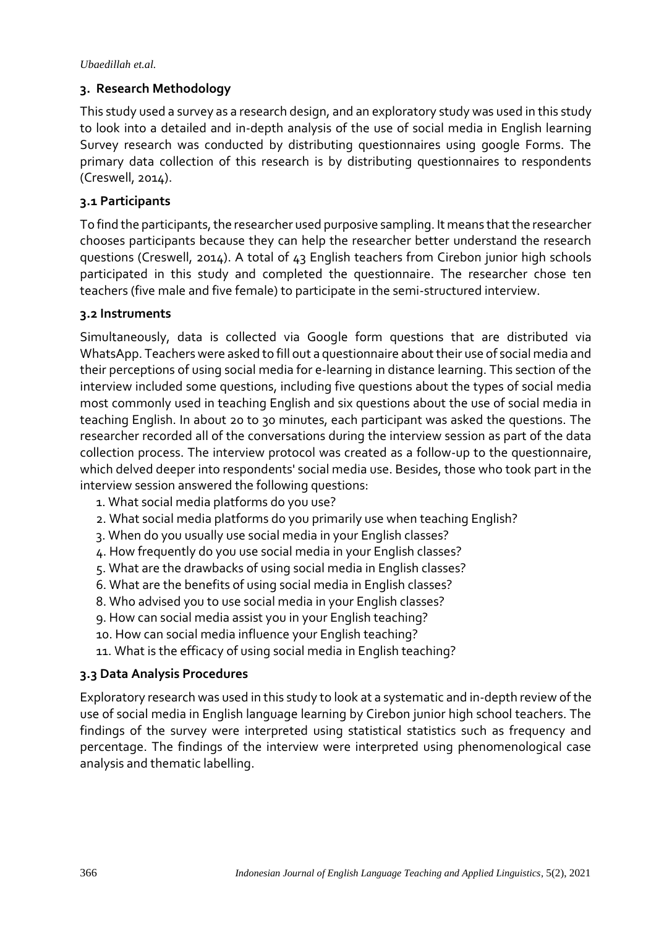## **3. Research Methodology**

This study used a survey as a research design, and an exploratory study was used in this study to look into a detailed and in-depth analysis of the use of social media in English learning Survey research was conducted by distributing questionnaires using google Forms. The primary data collection of this research is by distributing questionnaires to respondents (Creswell, 2014).

## **3.1 Participants**

To find the participants, the researcher used purposive sampling. It means that the researcher chooses participants because they can help the researcher better understand the research questions (Creswell, 2014). A total of 43 English teachers from Cirebon junior high schools participated in this study and completed the questionnaire. The researcher chose ten teachers (five male and five female) to participate in the semi-structured interview.

## **3.2 Instruments**

Simultaneously, data is collected via Google form questions that are distributed via WhatsApp. Teachers were asked to fill out a questionnaire about their use of social media and their perceptions of using social media for e-learning in distance learning. This section of the interview included some questions, including five questions about the types of social media most commonly used in teaching English and six questions about the use of social media in teaching English. In about 20 to 30 minutes, each participant was asked the questions. The researcher recorded all of the conversations during the interview session as part of the data collection process. The interview protocol was created as a follow-up to the questionnaire, which delved deeper into respondents' social media use. Besides, those who took part in the interview session answered the following questions:

- 1. What social media platforms do you use?
- 2. What social media platforms do you primarily use when teaching English?
- 3. When do you usually use social media in your English classes?
- 4. How frequently do you use social media in your English classes?
- 5. What are the drawbacks of using social media in English classes?
- 6. What are the benefits of using social media in English classes?
- 8. Who advised you to use social media in your English classes?
- 9. How can social media assist you in your English teaching?
- 10. How can social media influence your English teaching?
- 11. What is the efficacy of using social media in English teaching?

## **3.3 Data Analysis Procedures**

Exploratory research was used in this study to look at a systematic and in-depth review of the use of social media in English language learning by Cirebon junior high school teachers. The findings of the survey were interpreted using statistical statistics such as frequency and percentage. The findings of the interview were interpreted using phenomenological case analysis and thematic labelling.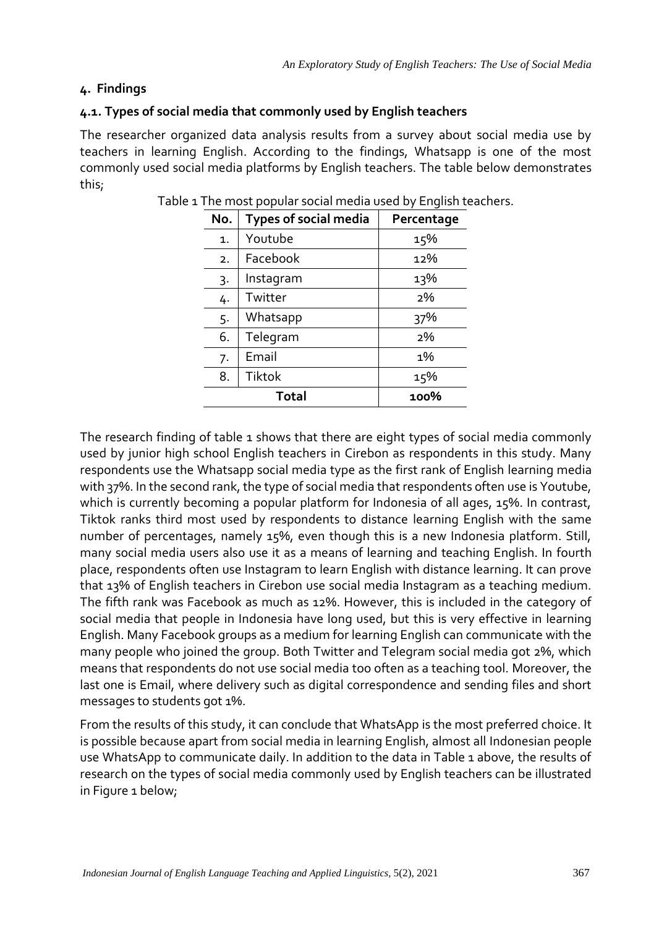# **4. Findings**

# **4.1. Types of social media that commonly used by English teachers**

The researcher organized data analysis results from a survey about social media use by teachers in learning English. According to the findings, Whatsapp is one of the most commonly used social media platforms by English teachers. The table below demonstrates this;

| No.            | <b>Types of social media</b> | Percentage |  |
|----------------|------------------------------|------------|--|
| $\mathbf{1}$ . | Youtube                      | 15%        |  |
| 2.             | Facebook                     | 12%        |  |
| 3.             | Instagram                    | 13%        |  |
| 4.             | Twitter                      | 2%         |  |
| 5.             | Whatsapp                     | 37%        |  |
| 6.             | Telegram                     | 2%         |  |
| 7.             | Email                        | 1%         |  |
| 8.             | Tiktok                       | 15%        |  |
|                | <b>Total</b>                 | 100%       |  |

|  |  | Table 1 The most popular social media used by English teachers. |  |  |  |  |  |  |  |
|--|--|-----------------------------------------------------------------|--|--|--|--|--|--|--|
|--|--|-----------------------------------------------------------------|--|--|--|--|--|--|--|

The research finding of table 1 shows that there are eight types of social media commonly used by junior high school English teachers in Cirebon as respondents in this study. Many respondents use the Whatsapp social media type as the first rank of English learning media with 37%. In the second rank, the type of social media that respondents often use is Youtube, which is currently becoming a popular platform for Indonesia of all ages, 15%. In contrast, Tiktok ranks third most used by respondents to distance learning English with the same number of percentages, namely 15%, even though this is a new Indonesia platform. Still, many social media users also use it as a means of learning and teaching English. In fourth place, respondents often use Instagram to learn English with distance learning. It can prove that 13% of English teachers in Cirebon use social media Instagram as a teaching medium. The fifth rank was Facebook as much as 12%. However, this is included in the category of social media that people in Indonesia have long used, but this is very effective in learning English. Many Facebook groups as a medium for learning English can communicate with the many people who joined the group. Both Twitter and Telegram social media got 2%, which means that respondents do not use social media too often as a teaching tool. Moreover, the last one is Email, where delivery such as digital correspondence and sending files and short messages to students got 1%.

From the results of this study, it can conclude that WhatsApp is the most preferred choice. It is possible because apart from social media in learning English, almost all Indonesian people use WhatsApp to communicate daily. In addition to the data in Table 1 above, the results of research on the types of social media commonly used by English teachers can be illustrated in Figure 1 below;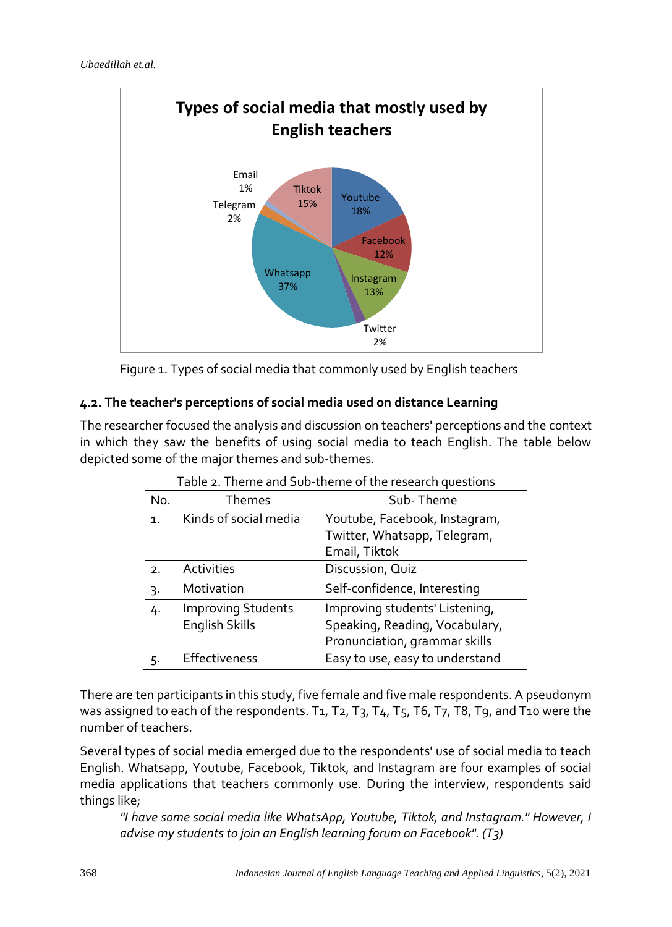

Figure 1. Types of social media that commonly used by English teachers

# **4.2. The teacher's perceptions of social media used on distance Learning**

The researcher focused the analysis and discussion on teachers' perceptions and the context in which they saw the benefits of using social media to teach English. The table below depicted some of the major themes and sub-themes.

|                | Table 2. Theme and Sub-theme of the research questions |                                 |  |  |  |
|----------------|--------------------------------------------------------|---------------------------------|--|--|--|
| No.            | Themes                                                 | Sub-Theme                       |  |  |  |
| $\mathbf{1}$ . | Kinds of social media                                  | Youtube, Facebook, Instagram,   |  |  |  |
|                |                                                        | Twitter, Whatsapp, Telegram,    |  |  |  |
|                |                                                        | Email, Tiktok                   |  |  |  |
| 2.             | <b>Activities</b>                                      | Discussion, Quiz                |  |  |  |
| 3.             | Motivation                                             | Self-confidence, Interesting    |  |  |  |
| 4.             | <b>Improving Students</b>                              | Improving students' Listening,  |  |  |  |
|                | English Skills                                         | Speaking, Reading, Vocabulary,  |  |  |  |
|                |                                                        | Pronunciation, grammar skills   |  |  |  |
| .,             | Effectiveness                                          | Easy to use, easy to understand |  |  |  |

There are ten participants in this study, five female and five male respondents. A pseudonym was assigned to each of the respondents. T1, T2, T3, T4, T5, T6, T7, T8, T9, and T10 were the number of teachers.

Several types of social media emerged due to the respondents' use of social media to teach English. Whatsapp, Youtube, Facebook, Tiktok, and Instagram are four examples of social media applications that teachers commonly use. During the interview, respondents said things like;

*"I have some social media like WhatsApp, Youtube, Tiktok, and Instagram." However, I advise my students to join an English learning forum on Facebook". (T3)*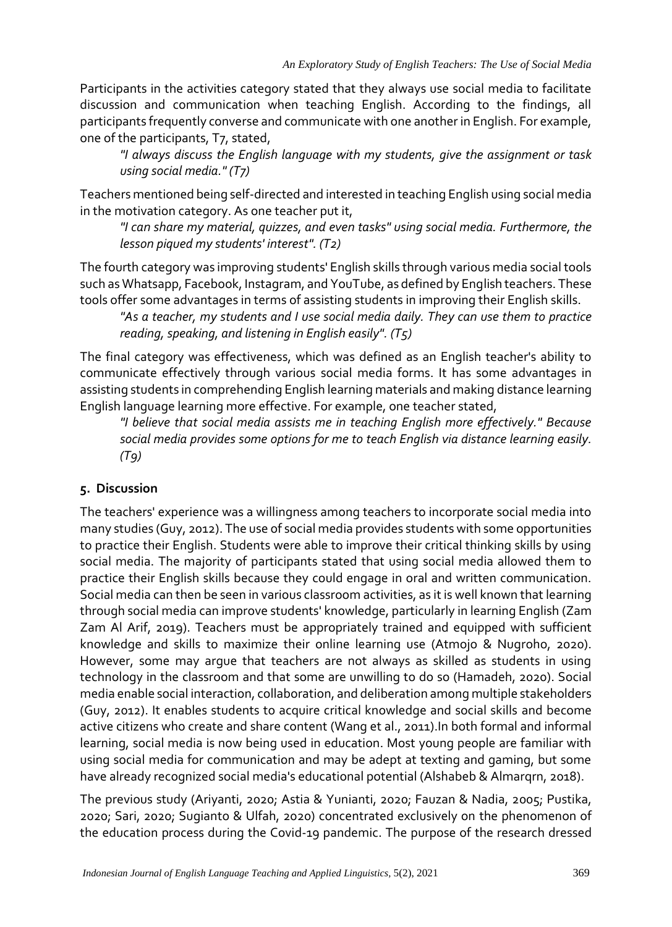Participants in the activities category stated that they always use social media to facilitate discussion and communication when teaching English. According to the findings, all participants frequently converse and communicate with one another in English. For example, one of the participants, T7, stated,

*"I always discuss the English language with my students, give the assignment or task using social media." (T7)*

Teachers mentioned being self-directed and interested in teaching English using social media in the motivation category. As one teacher put it,

*"I can share my material, quizzes, and even tasks" using social media. Furthermore, the lesson piqued my students' interest". (T2)*

The fourth category was improving students' English skills through various media social tools such as Whatsapp, Facebook, Instagram, and YouTube, as defined by English teachers. These tools offer some advantages in terms of assisting students in improving their English skills.

*"As a teacher, my students and I use social media daily. They can use them to practice reading, speaking, and listening in English easily". (T5)*

The final category was effectiveness, which was defined as an English teacher's ability to communicate effectively through various social media forms. It has some advantages in assisting students in comprehending English learning materials and making distance learning English language learning more effective. For example, one teacher stated,

*"I believe that social media assists me in teaching English more effectively." Because social media provides some options for me to teach English via distance learning easily. (T9)*

# **5. Discussion**

The teachers' experience was a willingness among teachers to incorporate social media into many studies (Guy, 2012). The use of social media provides students with some opportunities to practice their English. Students were able to improve their critical thinking skills by using social media. The majority of participants stated that using social media allowed them to practice their English skills because they could engage in oral and written communication. Social media can then be seen in various classroom activities, as it is well known that learning through social media can improve students' knowledge, particularly in learning English (Zam Zam Al Arif, 2019). Teachers must be appropriately trained and equipped with sufficient knowledge and skills to maximize their online learning use (Atmojo & Nugroho, 2020). However, some may argue that teachers are not always as skilled as students in using technology in the classroom and that some are unwilling to do so (Hamadeh, 2020). Social media enable social interaction, collaboration, and deliberation among multiple stakeholders (Guy, 2012). It enables students to acquire critical knowledge and social skills and become active citizens who create and share content (Wang et al., 2011).In both formal and informal learning, social media is now being used in education. Most young people are familiar with using social media for communication and may be adept at texting and gaming, but some have already recognized social media's educational potential (Alshabeb & Almarqrn, 2018).

The previous study (Ariyanti, 2020; Astia & Yunianti, 2020; Fauzan & Nadia, 2005; Pustika, 2020; Sari, 2020; Sugianto & Ulfah, 2020) concentrated exclusively on the phenomenon of the education process during the Covid-19 pandemic. The purpose of the research dressed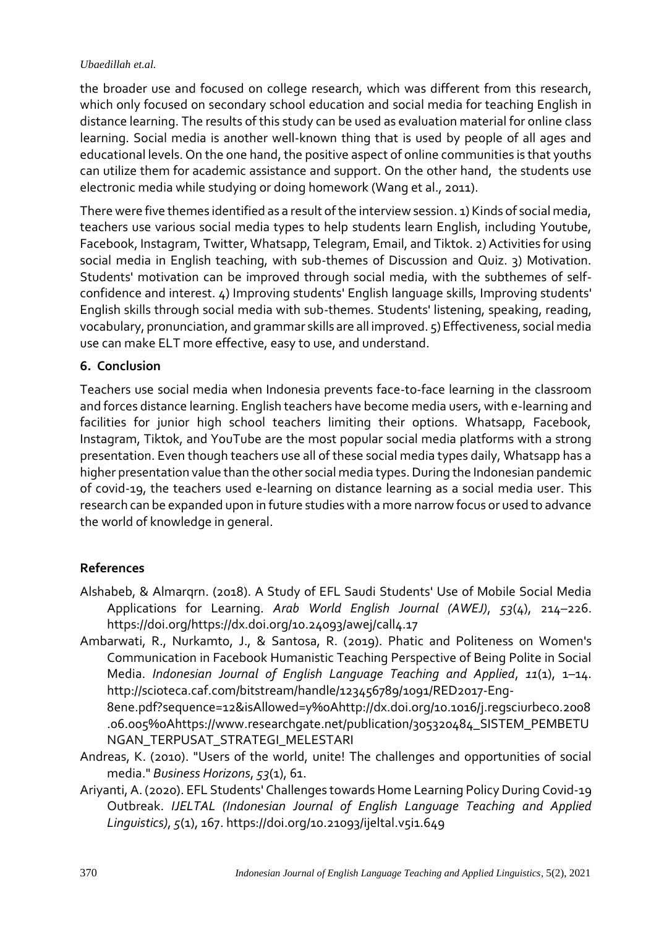the broader use and focused on college research, which was different from this research, which only focused on secondary school education and social media for teaching English in distance learning. The results of this study can be used as evaluation material for online class learning. Social media is another well-known thing that is used by people of all ages and educational levels. On the one hand, the positive aspect of online communities is that youths can utilize them for academic assistance and support. On the other hand, the students use electronic media while studying or doing homework (Wang et al., 2011).

There were five themes identified as a result of the interview session. 1) Kinds of social media, teachers use various social media types to help students learn English, including Youtube, Facebook, Instagram, Twitter, Whatsapp, Telegram, Email, and Tiktok. 2) Activities for using social media in English teaching, with sub-themes of Discussion and Quiz. 3) Motivation. Students' motivation can be improved through social media, with the subthemes of selfconfidence and interest. 4) Improving students' English language skills, Improving students' English skills through social media with sub-themes. Students' listening, speaking, reading, vocabulary, pronunciation, and grammar skills are all improved. 5) Effectiveness, social media use can make ELT more effective, easy to use, and understand.

## **6. Conclusion**

Teachers use social media when Indonesia prevents face-to-face learning in the classroom and forces distance learning. English teachers have become media users, with e-learning and facilities for junior high school teachers limiting their options. Whatsapp, Facebook, Instagram, Tiktok, and YouTube are the most popular social media platforms with a strong presentation. Even though teachers use all of these social media types daily, Whatsapp has a higher presentation value than the other social media types. During the Indonesian pandemic of covid-19, the teachers used e-learning on distance learning as a social media user. This research can be expanded upon in future studies with a more narrow focus or used to advance the world of knowledge in general.

## **References**

- Alshabeb, & Almarqrn. (2018). A Study of EFL Saudi Students' Use of Mobile Social Media Applications for Learning. *Arab World English Journal (AWEJ)*, *53*(4), 214–226. https://doi.org/https://dx.doi.org/10.24093/awej/call4.17
- Ambarwati, R., Nurkamto, J., & Santosa, R. (2019). Phatic and Politeness on Women's Communication in Facebook Humanistic Teaching Perspective of Being Polite in Social Media. *Indonesian Journal of English Language Teaching and Applied*, *11*(1), 1–14. http://scioteca.caf.com/bitstream/handle/123456789/1091/RED2017-Eng-

8ene.pdf?sequence=12&isAllowed=y%0Ahttp://dx.doi.org/10.1016/j.regsciurbeco.2008 .06.005%0Ahttps://www.researchgate.net/publication/305320484\_SISTEM\_PEMBETU NGAN\_TERPUSAT\_STRATEGI\_MELESTARI

- Andreas, K. (2010). "Users of the world, unite! The challenges and opportunities of social media." *Business Horizons*, *53*(1), 61.
- Ariyanti, A. (2020). EFL Students' Challenges towards Home Learning Policy During Covid-19 Outbreak. *IJELTAL (Indonesian Journal of English Language Teaching and Applied Linguistics)*, *5*(1), 167. https://doi.org/10.21093/ijeltal.v5i1.649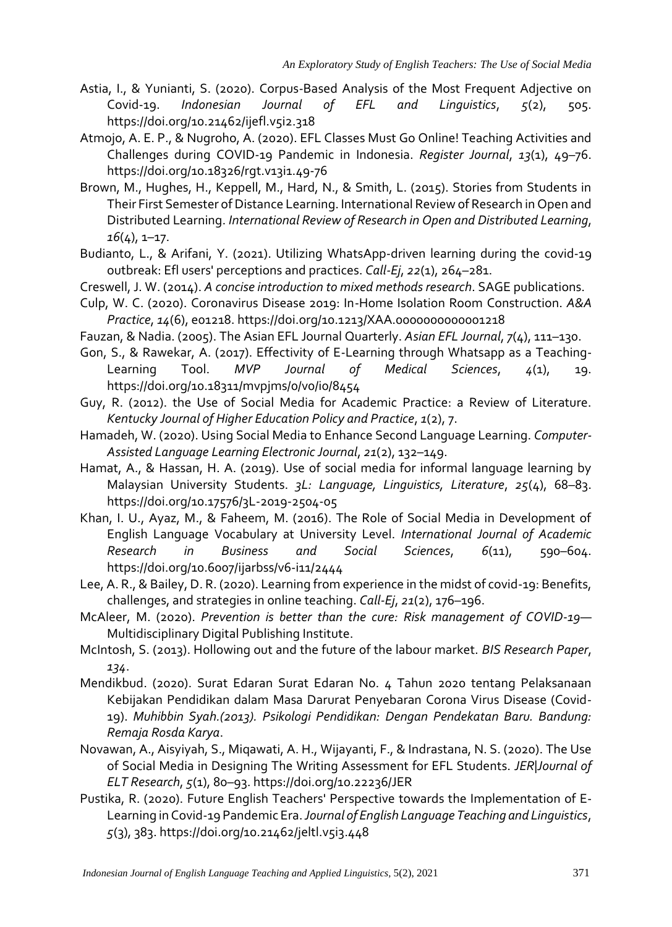- Astia, I., & Yunianti, S. (2020). Corpus-Based Analysis of the Most Frequent Adjective on Covid-19. *Indonesian Journal of EFL and Linguistics*, *5*(2), 505. https://doi.org/10.21462/ijefl.v5i2.318
- Atmojo, A. E. P., & Nugroho, A. (2020). EFL Classes Must Go Online! Teaching Activities and Challenges during COVID-19 Pandemic in Indonesia. *Register Journal*, *13*(1), 49–76. https://doi.org/10.18326/rgt.v13i1.49-76
- Brown, M., Hughes, H., Keppell, M., Hard, N., & Smith, L. (2015). Stories from Students in Their First Semester of Distance Learning. International Review of Research in Open and Distributed Learning. *International Review of Research in Open and Distributed Learning*, *16*(4), 1–17.
- Budianto, L., & Arifani, Y. (2021). Utilizing WhatsApp-driven learning during the covid-19 outbreak: Efl users' perceptions and practices. *Call-Ej*, *22*(1), 264–281.
- Creswell, J. W. (2014). *A concise introduction to mixed methods research*. SAGE publications.
- Culp, W. C. (2020). Coronavirus Disease 2019: In-Home Isolation Room Construction. *A&A Practice*, *14*(6), e01218. https://doi.org/10.1213/XAA.0000000000001218
- Fauzan, & Nadia. (2005). The Asian EFL Journal Quarterly. *Asian EFL Journal*, *7*(4), 111–130.
- Gon, S., & Rawekar, A. (2017). Effectivity of E-Learning through Whatsapp as a Teaching-Learning Tool. *MVP Journal of Medical Sciences*, *4*(1), 19. https://doi.org/10.18311/mvpjms/0/v0/i0/8454
- Guy, R. (2012). the Use of Social Media for Academic Practice: a Review of Literature. *Kentucky Journal of Higher Education Policy and Practice*, *1*(2), 7.
- Hamadeh, W. (2020). Using Social Media to Enhance Second Language Learning. *Computer-Assisted Language Learning Electronic Journal*, *21*(2), 132–149.
- Hamat, A., & Hassan, H. A. (2019). Use of social media for informal language learning by Malaysian University Students. *3L: Language, Linguistics, Literature*, *25*(4), 68–83. https://doi.org/10.17576/3L-2019-2504-05
- Khan, I. U., Ayaz, M., & Faheem, M. (2016). The Role of Social Media in Development of English Language Vocabulary at University Level. *International Journal of Academic Research in Business and Social Sciences*, *6*(11), 590–604. https://doi.org/10.6007/ijarbss/v6-i11/2444
- Lee, A. R., & Bailey, D. R. (2020). Learning from experience in the midst of covid-19: Benefits, challenges, and strategies in online teaching. *Call-Ej*, *21*(2), 176–196.
- McAleer, M. (2020). *Prevention is better than the cure: Risk management of COVID-19* Multidisciplinary Digital Publishing Institute.
- McIntosh, S. (2013). Hollowing out and the future of the labour market. *BIS Research Paper*, *134*.
- Mendikbud. (2020). Surat Edaran Surat Edaran No. 4 Tahun 2020 tentang Pelaksanaan Kebijakan Pendidikan dalam Masa Darurat Penyebaran Corona Virus Disease (Covid-19). *Muhibbin Syah.(2013). Psikologi Pendidikan: Dengan Pendekatan Baru. Bandung: Remaja Rosda Karya*.
- Novawan, A., Aisyiyah, S., Miqawati, A. H., Wijayanti, F., & Indrastana, N. S. (2020). The Use of Social Media in Designing The Writing Assessment for EFL Students. *JER|Journal of ELT Research*, *5*(1), 80–93. https://doi.org/10.22236/JER
- Pustika, R. (2020). Future English Teachers' Perspective towards the Implementation of E-Learning in Covid-19 Pandemic Era. *Journal of English Language Teaching and Linguistics*, *5*(3), 383. https://doi.org/10.21462/jeltl.v5i3.448